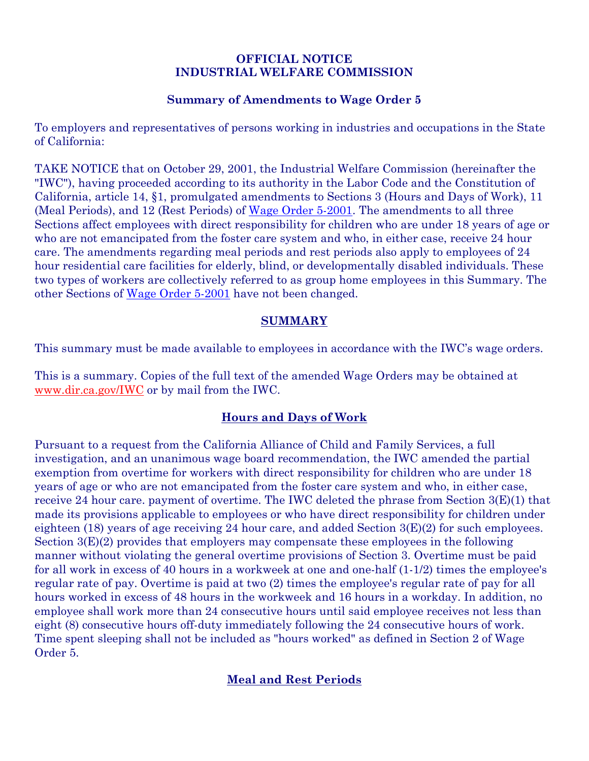#### **OFFICIAL NOTICE INDUSTRIAL WELFARE COMMISSION**

## **Summary of Amendments to Wage Order 5**

To employers and representatives of persons working in industries and occupations in the State of California:

TAKE NOTICE that on October 29, 2001, the Industrial Welfare Commission (hereinafter the "IWC"), having proceeded according to its authority in the Labor Code and the Constitution of California, article 14, §1, promulgated amendments to Sections 3 (Hours and Days of Work), 11 (Meal Periods), and 12 (Rest Periods) of Wage Order 5-2001. The amendments to all three Sections affect employees with direct responsibility for children who are under 18 years of age or who are not emancipated from the foster care system and who, in either case, receive 24 hour care. The amendments regarding meal periods and rest periods also apply to employees of 24 hour residential care facilities for elderly, blind, or developmentally disabled individuals. These two types of workers are collectively referred to as group home employees in this Summary. The other Sections of Wage Order 5-2001 have not been changed.

## **SUMMARY**

This summary must be made available to employees in accordance with the IWC's wage orders.

This is a summary. Copies of the full text of the amended Wage Orders may be obtained at [www.dir.ca.gov/IWC](https://www.dir.ca.gov/IWC) or by mail from the IWC.

# **Hours and Days of Work**

Pursuant to a request from the California Alliance of Child and Family Services, a full investigation, and an unanimous wage board recommendation, the IWC amended the partial exemption from overtime for workers with direct responsibility for children who are under 18 years of age or who are not emancipated from the foster care system and who, in either case, receive 24 hour care. payment of overtime. The IWC deleted the phrase from Section 3(E)(1) that made its provisions applicable to employees or who have direct responsibility for children under eighteen (18) years of age receiving 24 hour care, and added Section 3(E)(2) for such employees. Section 3(E)(2) provides that employers may compensate these employees in the following manner without violating the general overtime provisions of Section 3. Overtime must be paid for all work in excess of 40 hours in a workweek at one and one-half (1-1/2) times the employee's regular rate of pay. Overtime is paid at two (2) times the employee's regular rate of pay for all hours worked in excess of 48 hours in the workweek and 16 hours in a workday. In addition, no employee shall work more than 24 consecutive hours until said employee receives not less than eight (8) consecutive hours off-duty immediately following the 24 consecutive hours of work. Time spent sleeping shall not be included as "hours worked" as defined in Section 2 of Wage Order 5.

# **Meal and Rest Periods**